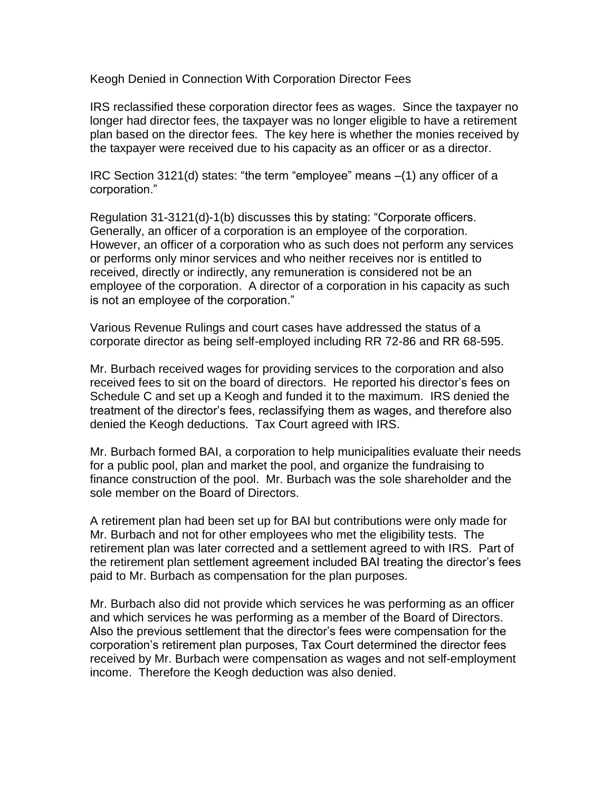Keogh Denied in Connection With Corporation Director Fees

IRS reclassified these corporation director fees as wages. Since the taxpayer no longer had director fees, the taxpayer was no longer eligible to have a retirement plan based on the director fees. The key here is whether the monies received by the taxpayer were received due to his capacity as an officer or as a director.

IRC Section 3121(d) states: "the term "employee" means –(1) any officer of a corporation."

Regulation 31-3121(d)-1(b) discusses this by stating: "Corporate officers. Generally, an officer of a corporation is an employee of the corporation. However, an officer of a corporation who as such does not perform any services or performs only minor services and who neither receives nor is entitled to received, directly or indirectly, any remuneration is considered not be an employee of the corporation. A director of a corporation in his capacity as such is not an employee of the corporation."

Various Revenue Rulings and court cases have addressed the status of a corporate director as being self-employed including RR 72-86 and RR 68-595.

Mr. Burbach received wages for providing services to the corporation and also received fees to sit on the board of directors. He reported his director's fees on Schedule C and set up a Keogh and funded it to the maximum. IRS denied the treatment of the director's fees, reclassifying them as wages, and therefore also denied the Keogh deductions. Tax Court agreed with IRS.

Mr. Burbach formed BAI, a corporation to help municipalities evaluate their needs for a public pool, plan and market the pool, and organize the fundraising to finance construction of the pool. Mr. Burbach was the sole shareholder and the sole member on the Board of Directors.

A retirement plan had been set up for BAI but contributions were only made for Mr. Burbach and not for other employees who met the eligibility tests. The retirement plan was later corrected and a settlement agreed to with IRS. Part of the retirement plan settlement agreement included BAI treating the director's fees paid to Mr. Burbach as compensation for the plan purposes.

Mr. Burbach also did not provide which services he was performing as an officer and which services he was performing as a member of the Board of Directors. Also the previous settlement that the director's fees were compensation for the corporation's retirement plan purposes, Tax Court determined the director fees received by Mr. Burbach were compensation as wages and not self-employment income. Therefore the Keogh deduction was also denied.